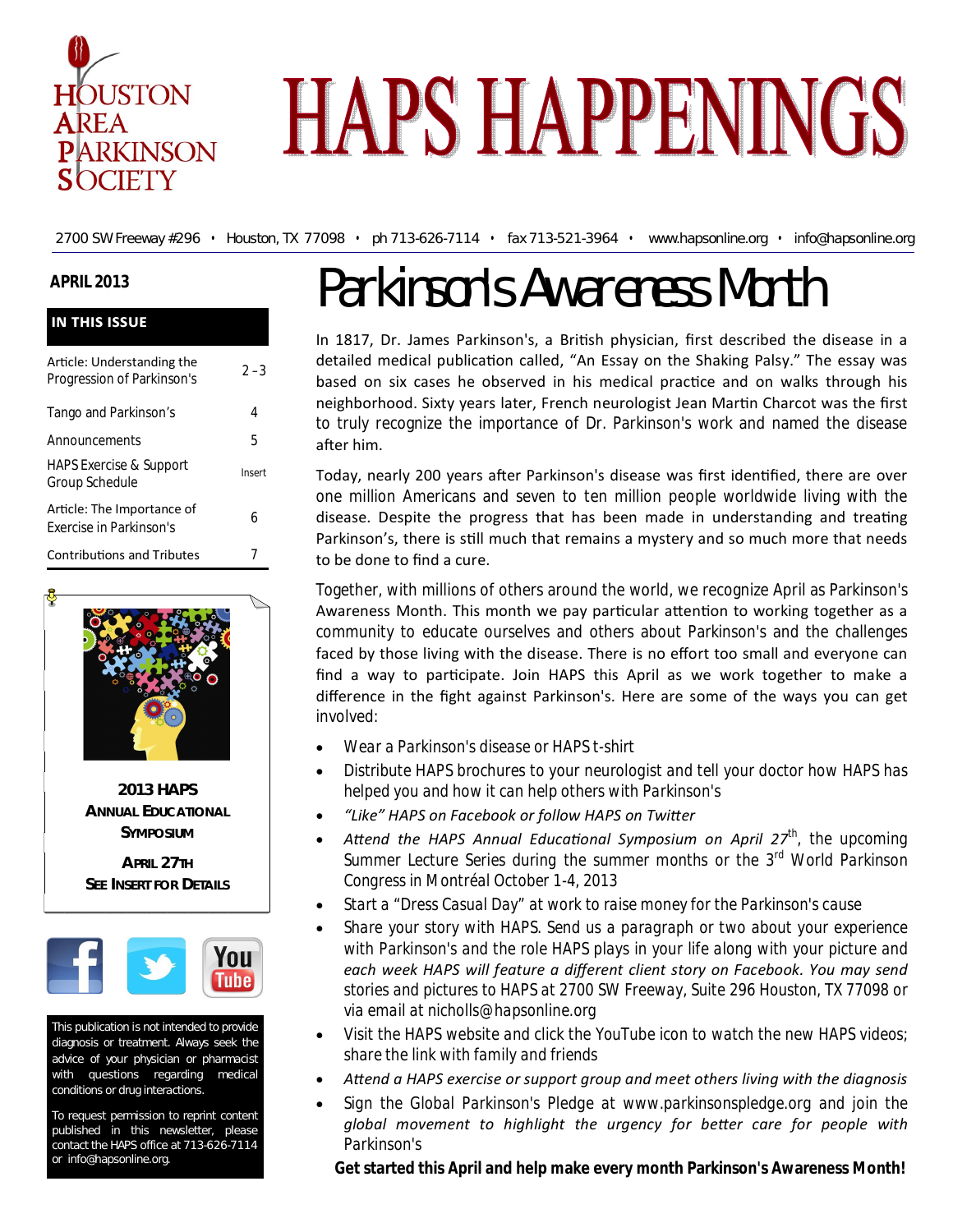

# **HAPS HAPPENINGS**

2700 SW Freeway #296 • Houston, TX 77098 • ph 713-626-7114 • fax 713-521-3964 • www.hapsonline.org • info@hapsonline.org

# **APRIL 2013**

| <b>IN THIS ISSUE</b>                                     |         |
|----------------------------------------------------------|---------|
| Article: Understanding the<br>Progression of Parkinson's | $2 - 3$ |
| Tango and Parkinson's                                    | 4       |
| Announcements                                            | 5       |
| <b>HAPS Exercise &amp; Support</b><br>Group Schedule     | Insert  |
| Article: The Importance of<br>Exercise in Parkinson's    | 6       |
| <b>Contributions and Tributes</b>                        |         |



**2013 HAPS ANNUAL EDUCATIONAL SYMPOSIUM**

**APRIL 27TH SEE INSERT FOR DETAILS**



This publication is not intended to provide diagnosis or treatment. Always seek the advice of your physician or pharmacist with questions regarding medical conditions or drug interactions.

To request permission to reprint content published in this newsletter, please contact the HAPS office at 713-626-7114 or info@hapsonline.org.

# Parkinson's Awareness Month

In 1817, Dr. James Parkinson's, a British physician, first described the disease in a detailed medical publication called, "An Essay on the Shaking Palsy." The essay was based on six cases he observed in his medical practice and on walks through his neighborhood. Sixty years later, French neurologist Jean Martin Charcot was the first to truly recognize the importance of Dr. Parkinson's work and named the disease after him.

Today, nearly 200 years after Parkinson's disease was first identified, there are over one million Americans and seven to ten million people worldwide living with the disease. Despite the progress that has been made in understanding and treating Parkinson's, there is still much that remains a mystery and so much more that needs to be done to find a cure.

Together, with millions of others around the world, we recognize April as Parkinson's Awareness Month. This month we pay particular attention to working together as a community to educate ourselves and others about Parkinson's and the challenges faced by those living with the disease. There is no effort too small and everyone can find a way to participate. Join HAPS this April as we work together to make a difference in the fight against Parkinson's. Here are some of the ways you can get involved:

- *Wear a Parkinson's disease or HAPS t-shirt*
- *Distribute HAPS brochures to your neurologist and tell your doctor how HAPS has helped you and how it can help others with Parkinson's*
- *"Like" HAPS on Facebook or follow HAPS on TwiƩer*
- *AƩend the HAPS Annual EducaƟonal Symposium on April 27th, the upcoming Summer Lecture Series during the summer months or the 3rd World Parkinson Congress in Montréal October 1-4, 2013*
- *Start a "Dress Casual Day" at work to raise money for the Parkinson's cause*
- *Share your story with HAPS. Send us a paragraph or two about your experience with Parkinson's and the role HAPS plays in your life along with your picture and each week HAPS will feature a different client story on Facebook. You may send stories and pictures to HAPS at 2700 SW Freeway, Suite 296 Houston, TX 77098 or via email at nicholls@hapsonline.org*
- *Visit the HAPS website and click the YouTube icon to watch the new HAPS videos; share the link with family and friends*
- *AƩend a HAPS exercise or support group and meet others living with the diagnosis*
- *Sign the Global Parkinson's Pledge at www.parkinsonspledge.org and join the*  global movement to highlight the urgency for better care for people with *Parkinson's*

**Get started this April and help make every month Parkinson's Awareness Month!**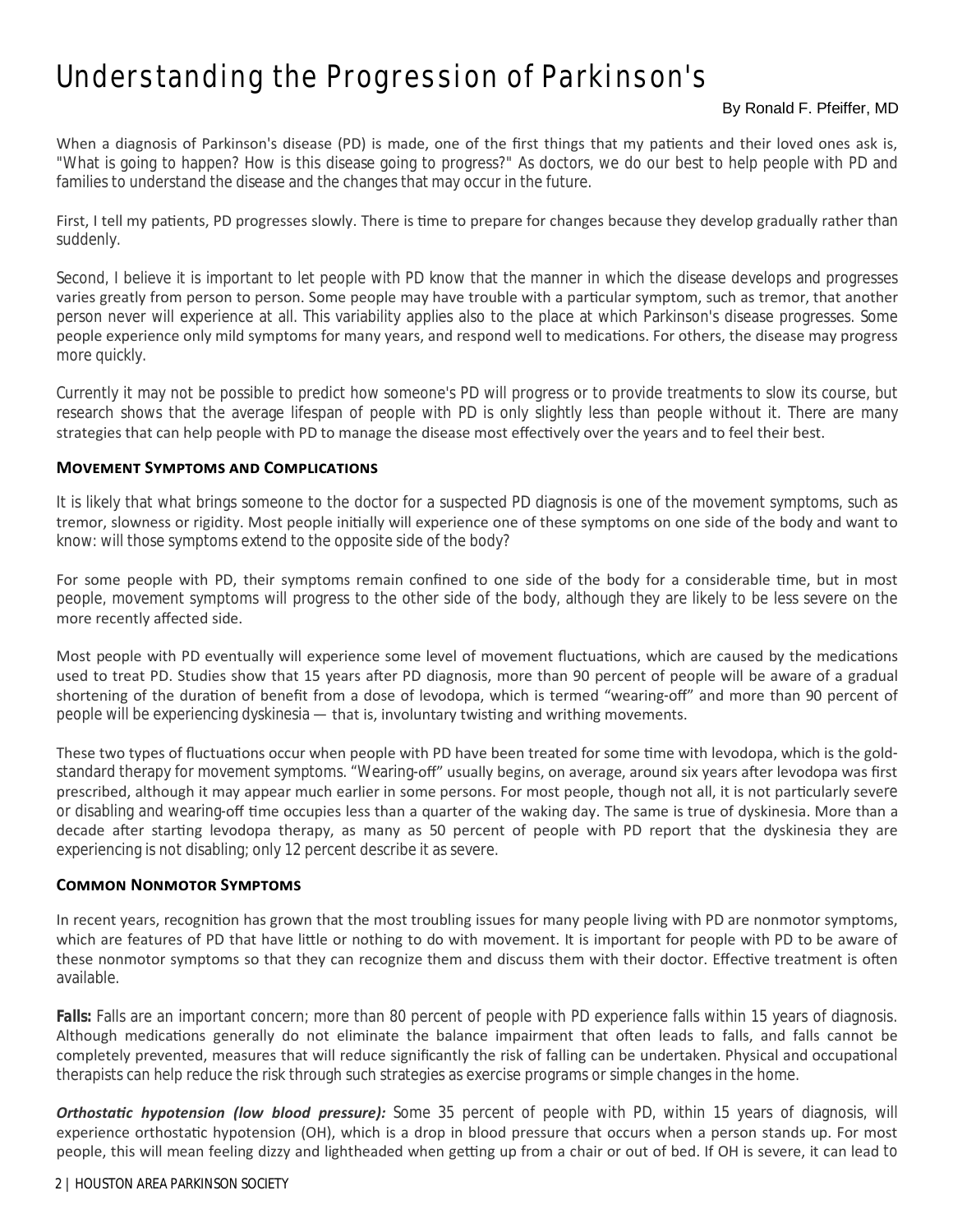# Understanding the Progression of Parkinson's

## By Ronald F. Pfeiffer, MD

When a diagnosis of Parkinson's disease (PD) is made, one of the first things that my patients and their loved ones ask is, "What is going to happen? How is this disease going to progress?" As doctors, we do our best to help people with PD and families to understand the disease and the changes that may occur in the future.

First, I tell my patients, PD progresses slowly. There is time to prepare for changes because they develop gradually rather than suddenly.

Second, I believe it is important to let people with PD know that the manner in which the disease develops and progresses varies greatly from person to person. Some people may have trouble with a particular symptom, such as tremor, that another person never will experience at all. This variability applies also to the place at which Parkinson's disease progresses. Some people experience only mild symptoms for many years, and respond well to medications. For others, the disease may progress more quickly.

Currently it may not be possible to predict how someone's PD will progress or to provide treatments to slow its course, but research shows that the average lifespan of people with PD is only slightly less than people without it. There are many strategies that can help people with PD to manage the disease most effectively over the years and to feel their best.

#### **MOVEMENT SYMPTOMS AND COMPLICATIONS**

It is likely that what brings someone to the doctor for a suspected PD diagnosis is one of the movement symptoms, such as tremor, slowness or rigidity. Most people initially will experience one of these symptoms on one side of the body and want to know: will those symptoms extend to the opposite side of the body?

For some people with PD, their symptoms remain confined to one side of the body for a considerable time, but in most people, movement symptoms will progress to the other side of the body, although they are likely to be less severe on the more recently affected side.

Most people with PD eventually will experience some level of movement fluctuations, which are caused by the medications used to treat PD. Studies show that 15 years after PD diagnosis, more than 90 percent of people will be aware of a gradual shortening of the duration of benefit from a dose of levodopa, which is termed "wearing-off" and more than 90 percent of people will be experiencing dyskinesia — that is, involuntary twisting and writhing movements.

These two types of fluctuations occur when people with PD have been treated for some time with levodopa, which is the goldstandard therapy for movement symptoms. "Wearing-off" usually begins, on average, around six years after levodopa was first prescribed, although it may appear much earlier in some persons. For most people, though not all, it is not particularly severe or disabling and wearing-off time occupies less than a quarter of the waking day. The same is true of dyskinesia. More than a decade after starting levodopa therapy, as many as 50 percent of people with PD report that the dyskinesia they are experiencing is not disabling; only 12 percent describe it as severe.

#### **COMMON NONMOTOR SYMPTOMS**

In recent years, recognition has grown that the most troubling issues for many people living with PD are nonmotor symptoms, which are features of PD that have little or nothing to do with movement. It is important for people with PD to be aware of these nonmotor symptoms so that they can recognize them and discuss them with their doctor. Effective treatment is often available.

*Falls:* Falls are an important concern; more than 80 percent of people with PD experience falls within 15 years of diagnosis. Although medications generally do not eliminate the balance impairment that often leads to falls, and falls cannot be completely prevented, measures that will reduce significantly the risk of falling can be undertaken. Physical and occupational therapists can help reduce the risk through such strategies as exercise programs or simple changes in the home.

**Orthostatic hypotension (low blood pressure):** Some 35 percent of people with PD, within 15 years of diagnosis, will experience orthostatic hypotension (OH), which is a drop in blood pressure that occurs when a person stands up. For most people, this will mean feeling dizzy and lightheaded when getting up from a chair or out of bed. If OH is severe, it can lead to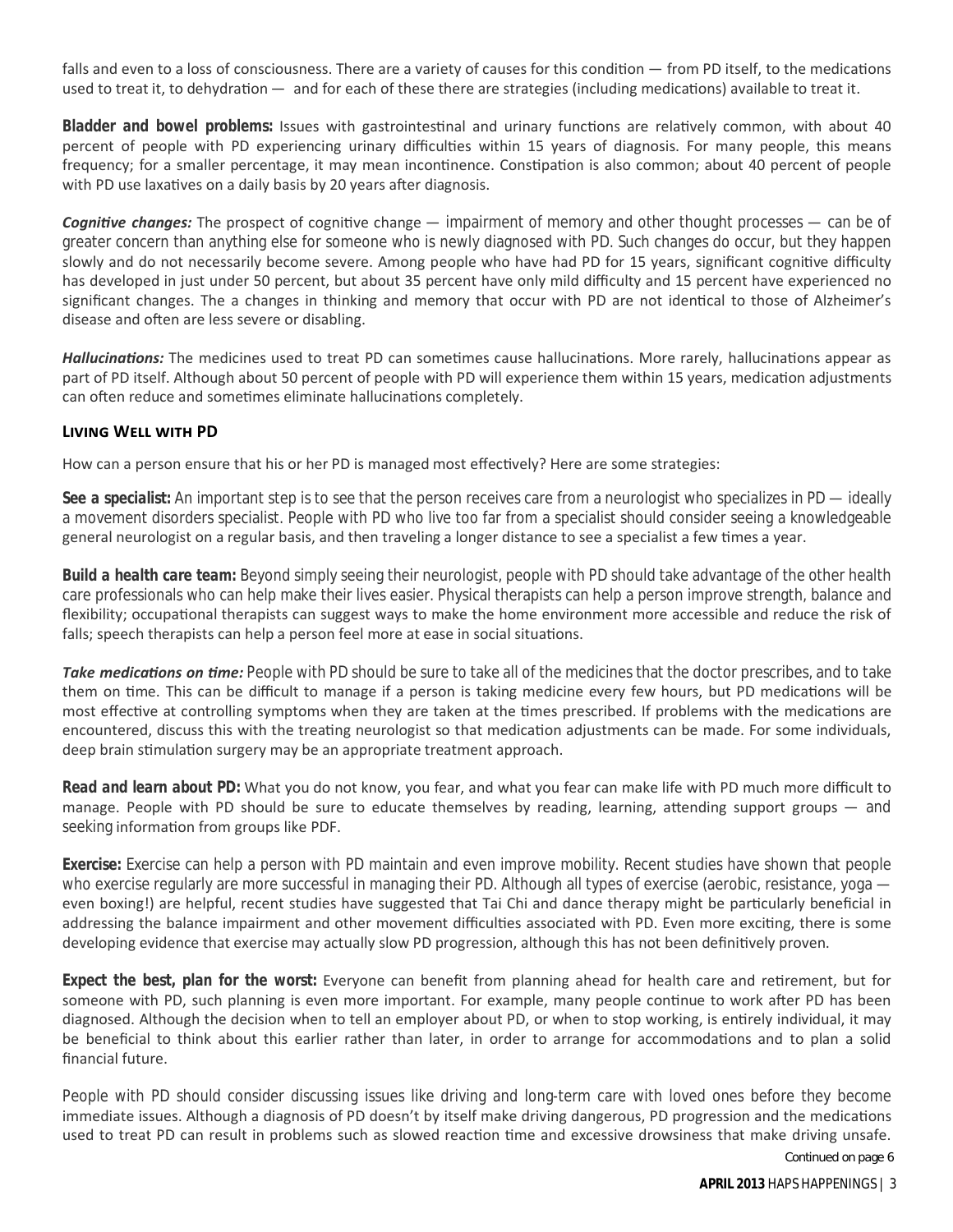falls and even to a loss of consciousness. There are a variety of causes for this condition — from PD itself, to the medications used to treat it, to dehydration — and for each of these there are strategies (including medications) available to treat it.

**Bladder and bowel problems:** Issues with gastrointestinal and urinary functions are relatively common, with about 40 percent of people with PD experiencing urinary difficulties within 15 years of diagnosis. For many people, this means frequency; for a smaller percentage, it may mean incontinence. Constipation is also common; about 40 percent of people with PD use laxatives on a daily basis by 20 years after diagnosis.

**Cognitive changes:** The prospect of cognitive change — impairment of memory and other thought processes — can be of greater concern than anything else for someone who is newly diagnosed with PD. Such changes do occur, but they happen slowly and do not necessarily become severe. Among people who have had PD for 15 years, significant cognitive difficulty has developed in just under 50 percent, but about 35 percent have only mild difficulty and 15 percent have experienced no significant changes. The a changes in thinking and memory that occur with PD are not identical to those of Alzheimer's disease and often are less severe or disabling.

*Hallucinations:* The medicines used to treat PD can sometimes cause hallucinations. More rarely, hallucinations appear as part of PD itself. Although about 50 percent of people with PD will experience them within 15 years, medication adjustments can often reduce and sometimes eliminate hallucinations completely.

## **LIVING WELL WITH PD**

How can a person ensure that his or her PD is managed most effectively? Here are some strategies:

*See a specialist:* An important step is to see that the person receives care from a neurologist who specializes in PD — ideally a movement disorders specialist. People with PD who live too far from a specialist should consider seeing a knowledgeable general neurologist on a regular basis, and then traveling a longer distance to see a specialist a few times a year.

*Build a health care team:* Beyond simply seeing their neurologist, people with PD should take advantage of the other health care professionals who can help make their lives easier. Physical therapists can help a person improve strength, balance and flexibility; occupational therapists can suggest ways to make the home environment more accessible and reduce the risk of falls; speech therapists can help a person feel more at ease in social situations.

**Take medications on time:** People with PD should be sure to take all of the medicines that the doctor prescribes, and to take them on time. This can be difficult to manage if a person is taking medicine every few hours, but PD medications will be most effective at controlling symptoms when they are taken at the times prescribed. If problems with the medications are encountered, discuss this with the treating neurologist so that medication adjustments can be made. For some individuals, deep brain stimulation surgery may be an appropriate treatment approach.

*Read and learn about PD:* What you do not know, you fear, and what you fear can make life with PD much more difficult to manage. People with PD should be sure to educate themselves by reading, learning, attending support groups — and seeking information from groups like PDF.

*Exercise:* Exercise can help a person with PD maintain and even improve mobility. Recent studies have shown that people who exercise regularly are more successful in managing their PD. Although all types of exercise (aerobic, resistance, yoga even boxing!) are helpful, recent studies have suggested that Tai Chi and dance therapy might be particularly beneficial in addressing the balance impairment and other movement difficulties associated with PD. Even more exciting, there is some developing evidence that exercise may actually slow PD progression, although this has not been definitively proven.

**Expect the best, plan for the worst:** Everyone can benefit from planning ahead for health care and retirement, but for someone with PD, such planning is even more important. For example, many people continue to work after PD has been diagnosed. Although the decision when to tell an employer about PD, or when to stop working, is entirely individual, it may be beneficial to think about this earlier rather than later, in order to arrange for accommodations and to plan a solid financial future.

People with PD should consider discussing issues like driving and long-term care with loved ones before they become immediate issues. Although a diagnosis of PD doesn't by itself make driving dangerous, PD progression and the medications used to treat PD can result in problems such as slowed reaction time and excessive drowsiness that make driving unsafe.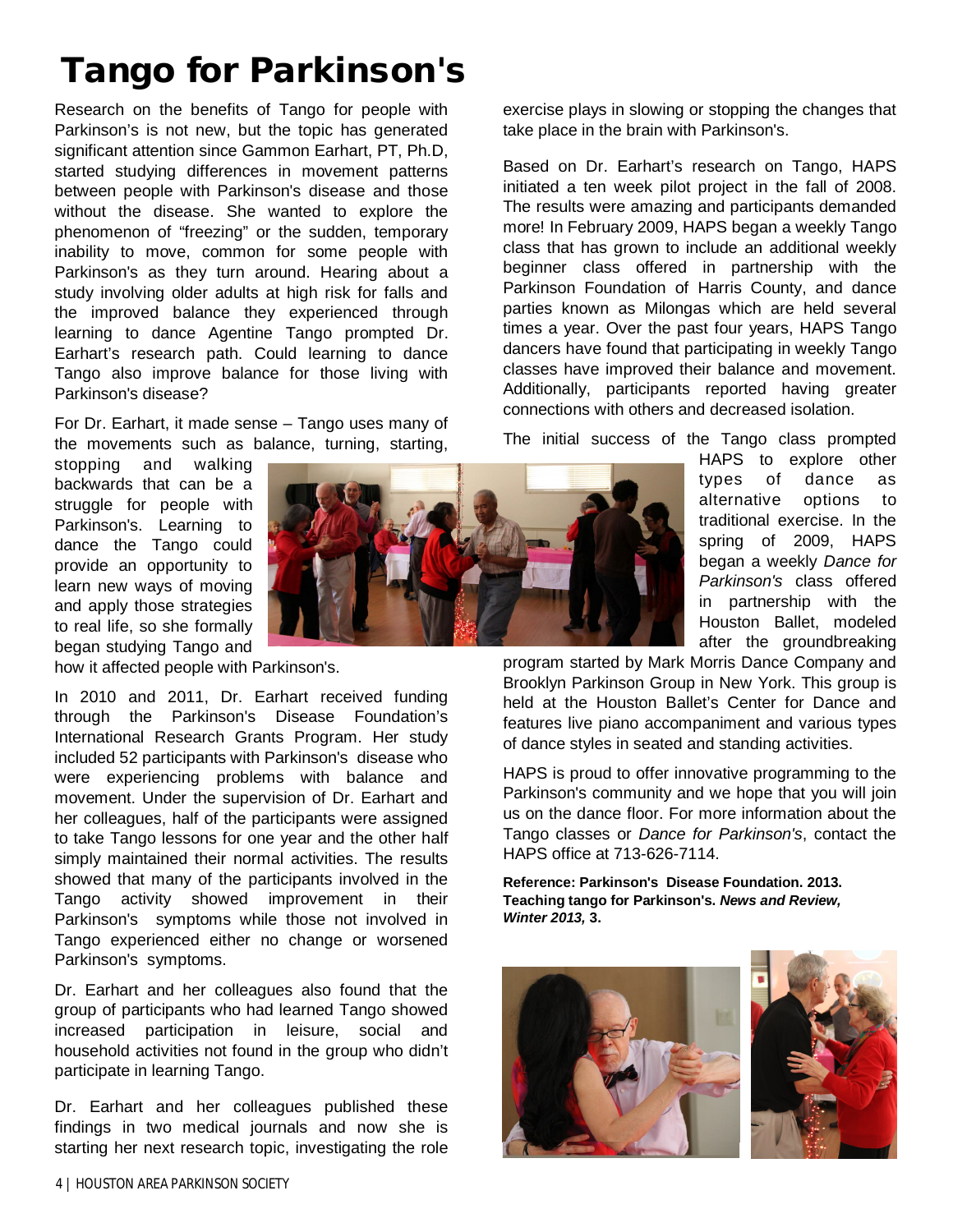# **Tango for Parkinson's**

Research on the benefits of Tango for people with Parkinson's is not new, but the topic has generated significant attention since Gammon Earhart, PT, Ph.D, started studying differences in movement patterns between people with Parkinson's disease and those without the disease. She wanted to explore the phenomenon of "freezing" or the sudden, temporary inability to move, common for some people with Parkinson's as they turn around. Hearing about a study involving older adults at high risk for falls and the improved balance they experienced through learning to dance Agentine Tango prompted Dr. Earhart's research path. Could learning to dance Tango also improve balance for those living with Parkinson's disease?

For Dr. Earhart, it made sense – Tango uses many of the movements such as balance, turning, starting,

stopping and walking backwards that can be a struggle for people with Parkinson's. Learning to dance the Tango could provide an opportunity to learn new ways of moving and apply those strategies to real life, so she formally began studying Tango and

how it affected people with Parkinson's.

In 2010 and 2011, Dr. Earhart received funding through the Parkinson's Disease Foundation's International Research Grants Program. Her study included 52 participants with Parkinson's disease who were experiencing problems with balance and movement. Under the supervision of Dr. Earhart and her colleagues, half of the participants were assigned to take Tango lessons for one year and the other half simply maintained their normal activities. The results showed that many of the participants involved in the Tango activity showed improvement in their Parkinson's symptoms while those not involved in Tango experienced either no change or worsened Parkinson's symptoms.

Dr. Earhart and her colleagues also found that the group of participants who had learned Tango showed increased participation in leisure, social and household activities not found in the group who didn't participate in learning Tango.

Dr. Earhart and her colleagues published these findings in two medical journals and now she is starting her next research topic, investigating the role

exercise plays in slowing or stopping the changes that take place in the brain with Parkinson's.

Based on Dr. Earhart's research on Tango, HAPS initiated a ten week pilot project in the fall of 2008. The results were amazing and participants demanded more! In February 2009, HAPS began a weekly Tango class that has grown to include an additional weekly beginner class offered in partnership with the Parkinson Foundation of Harris County, and dance parties known as Milongas which are held several times a year. Over the past four years, HAPS Tango dancers have found that participating in weekly Tango classes have improved their balance and movement. Additionally, participants reported having greater connections with others and decreased isolation.

The initial success of the Tango class prompted

HAPS to explore other types of dance as alternative options to traditional exercise. In the spring of 2009, HAPS began a weekly *Dance for Parkinson's* class offered in partnership with the Houston Ballet, modeled after the groundbreaking

program started by Mark Morris Dance Company and Brooklyn Parkinson Group in New York. This group is held at the Houston Ballet's Center for Dance and features live piano accompaniment and various types of dance styles in seated and standing activities.

HAPS is proud to offer innovative programming to the Parkinson's community and we hope that you will join us on the dance floor. For more information about the Tango classes or *Dance for Parkinson's*, contact the HAPS office at 713-626-7114.

**Reference: Parkinson's Disease Foundation. 2013. Teaching tango for Parkinson's.** *News and Review, Winter 2013,* **3.** 



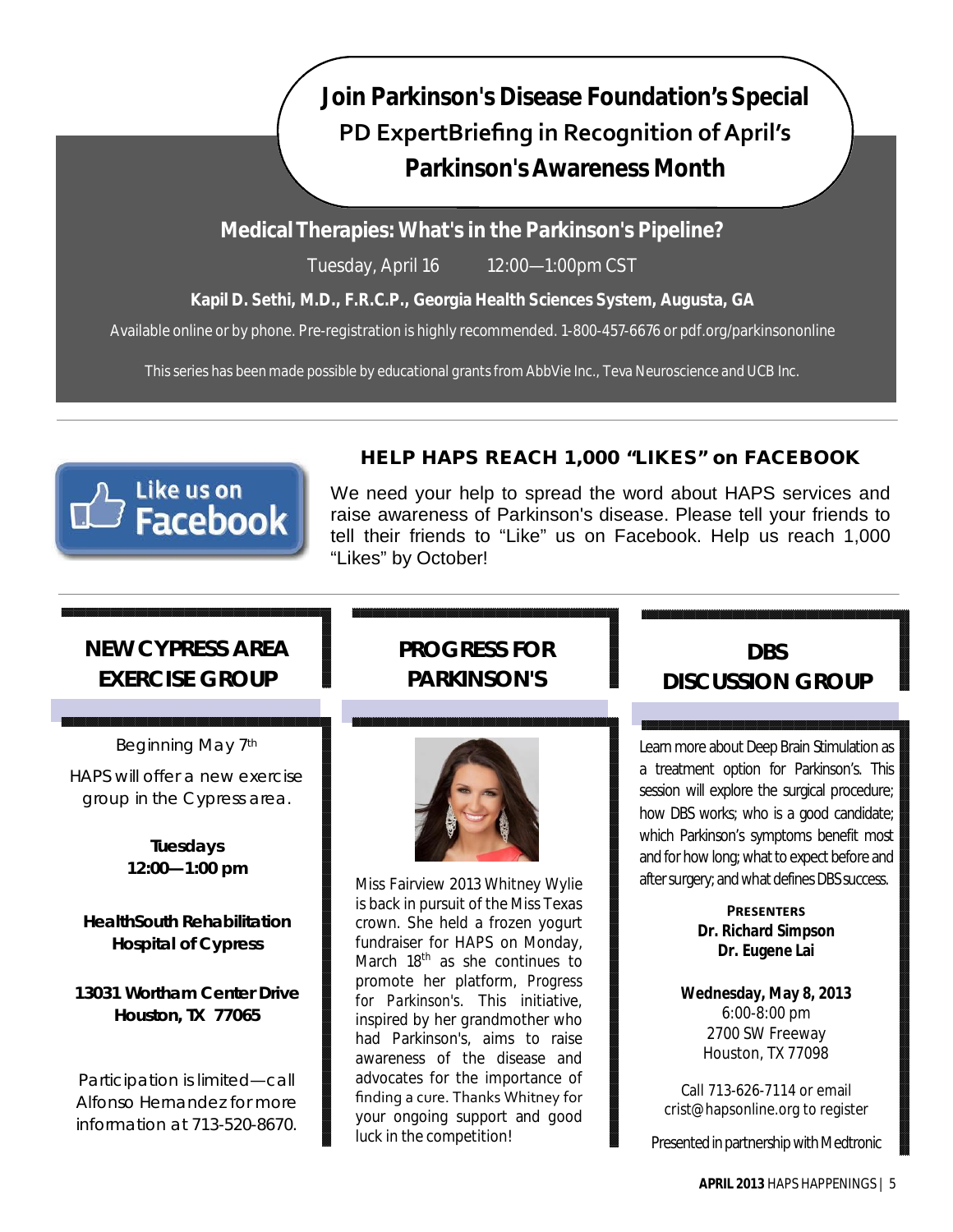# **Join Parkinson's Disease Foundation's Special PD ExpertBriefing in Recognition of April's Parkinson's Awareness Month**

# **Medical Therapies: What's in the Parkinson's Pipeline?**

Tuesday, April 16 12:00—1:00pm CST

# **Kapil D. Sethi, M.D., F.R.C.P., Georgia Health Sciences System, Augusta, GA**

Available online or by phone. Pre-registration is highly recommended. 1-800-457-6676 or pdf.org/parkinsononline

This series has been made possible by educational grants from AbbVie Inc., Teva Neuroscience and UCB Inc.



# **HELP HAPS REACH 1,000 "LIKES" on FACEBOOK**

We need your help to spread the word about HAPS services and raise awareness of Parkinson's disease. Please tell your friends to tell their friends to "Like" us on Facebook. Help us reach 1,000 "Likes" by October!

# **NEW CYPRESS AREA EXERCISE GROUP**

Beginning May 7th HAPS will offer a new exercise group in the Cypress area.

> **Tuesdays 12:00—1:00 pm**

**HealthSouth Rehabilitation Hospital of Cypress**

**13031 Wortham Center Drive Houston, TX 77065**

Participation is limited—call Alfonso Hernandez for more information at 713-520-8670.

# **PROGRESS FOR PARKINSON'S**



Miss Fairview 2013 Whitney Wylie is back in pursuit of the Miss Texas crown. She held a frozen yogurt fundraiser for HAPS on Monday, March 18<sup>th</sup> as she continues to promote her platform, *Progress for Parkinson's*. This initiative, inspired by her grandmother who had Parkinson's, aims to raise awareness of the disease and advocates for the importance of finding a cure. Thanks Whitney for your ongoing support and good luck in the competition!

**DBS DISCUSSION GROUP**

Learn more about Deep Brain Stimulation as a treatment option for Parkinson's. This session will explore the surgical procedure; how DBS works; who is a good candidate; which Parkinson's symptoms benefit most and for how long; what to expect before and after surgery; and what defines DBS success.

> **PRESENTERS Dr. Richard Simpson Dr. Eugene Lai**

**Wednesday, May 8, 2013** 6:00-8:00 pm 2700 SW Freeway Houston, TX 77098

Call 713-626-7114 or email crist@hapsonline.org to register

Presented in partnership with Medtronic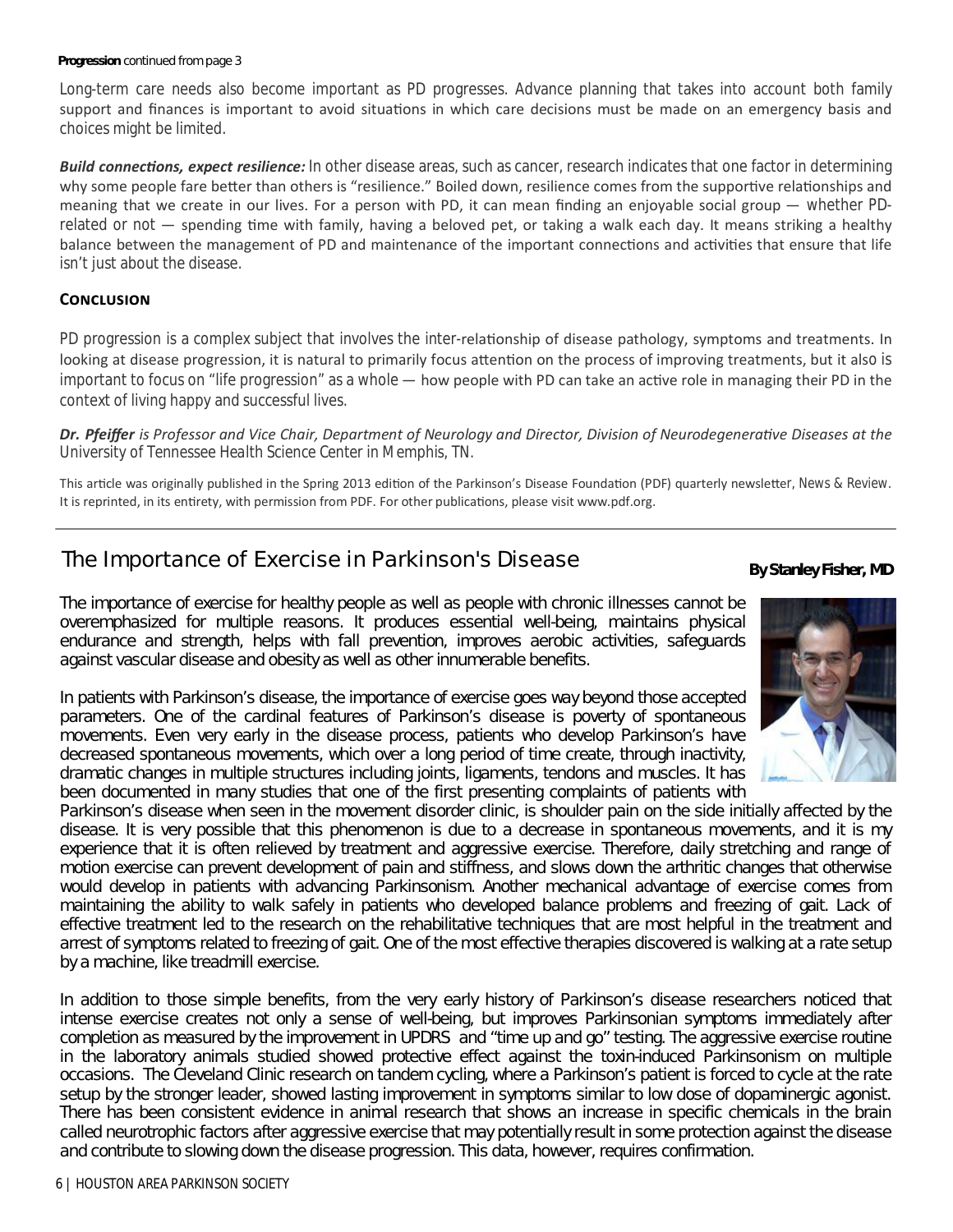#### **Progression** continued from page 3

Long-term care needs also become important as PD progresses. Advance planning that takes into account both family support and finances is important to avoid situations in which care decisions must be made on an emergency basis and choices might be limited.

**Build connections, expect resilience:** In other disease areas, such as cancer, research indicates that one factor in determining why some people fare better than others is "resilience." Boiled down, resilience comes from the supportive relationships and meaning that we create in our lives. For a person with PD, it can mean finding an enjoyable social group — whether PDrelated or not  $-$  spending time with family, having a beloved pet, or taking a walk each day. It means striking a healthy balance between the management of PD and maintenance of the important connections and activities that ensure that life isn't just about the disease.

## **CONCLUSION**

PD progression is a complex subject that involves the inter-relationship of disease pathology, symptoms and treatments. In looking at disease progression, it is natural to primarily focus attention on the process of improving treatments, but it also is important to focus on "life progression" as a whole — how people with PD can take an active role in managing their PD in the context of living happy and successful lives.

*Dr. Pfeiffer is Professor and Vice Chair, Department of Neurology and Director, Division of NeurodegeneraƟve Diseases at the University of Tennessee Health Science Center in Memphis, TN.*

This article was originally published in the Spring 2013 edition of the Parkinson's Disease Foundation (PDF) quarterly newsletter, News & Review. It is reprinted, in its entirety, with permission from PDF. For other publications, please visit www.pdf.org.

# The Importance of Exercise in Parkinson's Disease **By Stanley Fisher, MD**

The importance of exercise for healthy people as well as people with chronic illnesses cannot be overemphasized for multiple reasons. It produces essential well-being, maintains physical endurance and strength, helps with fall prevention, improves aerobic activities, safeguards against vascular disease and obesity as well as other innumerable benefits.

In patients with Parkinson's disease, the importance of exercise goes way beyond those accepted parameters. One of the cardinal features of Parkinson's disease is poverty of spontaneous movements. Even very early in the disease process, patients who develop Parkinson's have decreased spontaneous movements, which over a long period of time create, through inactivity, dramatic changes in multiple structures including joints, ligaments, tendons and muscles. It has been documented in many studies that one of the first presenting complaints of patients with

Parkinson's disease when seen in the movement disorder clinic, is shoulder pain on the side initially affected by the disease. It is very possible that this phenomenon is due to a decrease in spontaneous movements, and it is my experience that it is often relieved by treatment and aggressive exercise. Therefore, daily stretching and range of motion exercise can prevent development of pain and stiffness, and slows down the arthritic changes that otherwise would develop in patients with advancing Parkinsonism. Another mechanical advantage of exercise comes from maintaining the ability to walk safely in patients who developed balance problems and freezing of gait. Lack of effective treatment led to the research on the rehabilitative techniques that are most helpful in the treatment and arrest of symptoms related to freezing of gait. One of the most effective therapies discovered is walking at a rate setup by a machine, like treadmill exercise.

In addition to those simple benefits, from the very early history of Parkinson's disease researchers noticed that intense exercise creates not only a sense of well-being, but improves Parkinsonian symptoms immediately after completion as measured by the improvement in UPDRS and "time up and go" testing. The aggressive exercise routine in the laboratory animals studied showed protective effect against the toxin-induced Parkinsonism on multiple occasions. The Cleveland Clinic research on tandem cycling, where a Parkinson's patient is forced to cycle at the rate setup by the stronger leader, showed lasting improvement in symptoms similar to low dose of dopaminergic agonist. There has been consistent evidence in animal research that shows an increase in specific chemicals in the brain called neurotrophic factors after aggressive exercise that may potentially result in some protection against the disease and contribute to slowing down the disease progression. This data, however, requires confirmation.

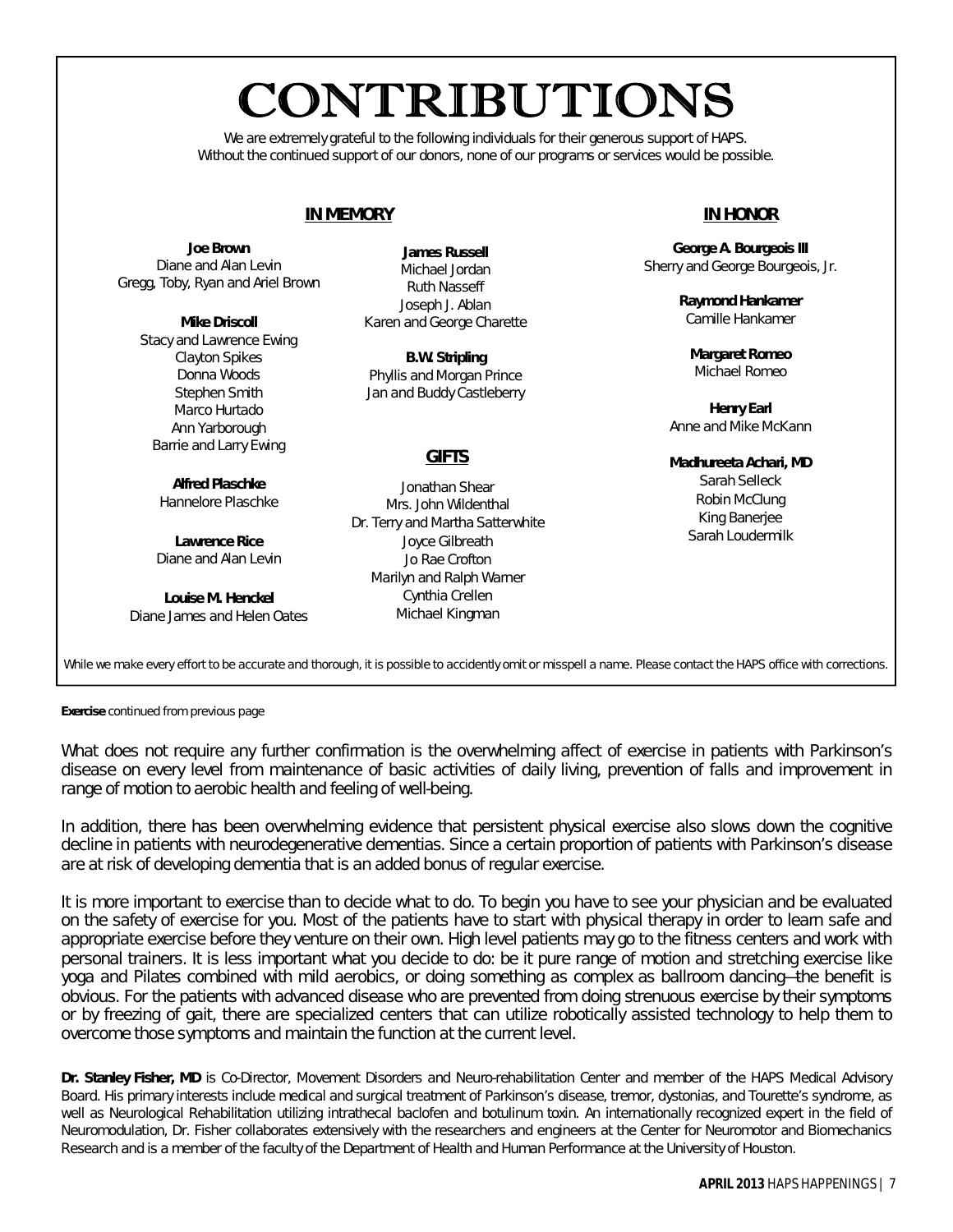# CONTRIBUTIONS

We are extremely grateful to the following individuals for their generous support of HAPS. Without the continued support of our donors, none of our programs or services would be possible.

# **IN MEMORY**

*Joe Brown* Diane and Alan Levin Gregg, Toby, Ryan and Ariel Brown

> *Mike Driscoll* Stacy and Lawrence Ewing Clayton Spikes Donna Woods Stephen Smith Marco Hurtado Ann Yarborough Barrie and Larry Ewing

> > *Alfred Plaschke* Hannelore Plaschke

*Lawrence Rice* Diane and Alan Levin

*Louise M. Henckel* Diane James and Helen Oates

*James Russell* Michael Jordan Ruth Nasseff Joseph J. Ablan Karen and George Charette

*B.W. Stripling* Phyllis and Morgan Prince Jan and Buddy Castleberry

# **GIFTS**

Jonathan Shear Mrs. John Wildenthal Dr. Terry and Martha Satterwhite Joyce Gilbreath Jo Rae Crofton Marilyn and Ralph Warner Cynthia Crellen Michael Kingman

# **IN HONOR**

*George A. Bourgeois III* Sherry and George Bourgeois, Jr.

> *Raymond Hankamer* Camille Hankamer

*Margaret Romeo* Michael Romeo

*Henry Earl* Anne and Mike McKann

*Madhureeta Achari, MD* Sarah Selleck Robin McClung

King Banerjee Sarah Loudermilk

While we make every effort to be accurate and thorough, it is possible to accidently omit or misspell a name. Please contact the *HAPS* office with corrections.

**Exercise** continued from previous page

What does not require any further confirmation is the overwhelming affect of exercise in patients with Parkinson's disease on every level from maintenance of basic activities of daily living, prevention of falls and improvement in range of motion to aerobic health and feeling of well-being.

In addition, there has been overwhelming evidence that persistent physical exercise also slows down the cognitive decline in patients with neurodegenerative dementias. Since a certain proportion of patients with Parkinson's disease are at risk of developing dementia that is an added bonus of regular exercise.

It is more important to exercise than to decide what to do. To begin you have to see your physician and be evaluated on the safety of exercise for you. Most of the patients have to start with physical therapy in order to learn safe and appropriate exercise before they venture on their own. High level patients may go to the fitness centers and work with personal trainers. It is less important what you decide to do: be it pure range of motion and stretching exercise like yoga and Pilates combined with mild aerobics, or doing something as complex as ballroom dancing—the benefit is obvious. For the patients with advanced disease who are prevented from doing strenuous exercise by their symptoms or by freezing of gait, there are specialized centers that can utilize robotically assisted technology to help them to overcome those symptoms and maintain the function at the current level.

*Dr. Stanley Fisher, MD is Co-Director, Movement Disorders and Neuro-rehabilitation Center and member of the HAPS Medical Advisory Board. His primary interests include medical and surgical treatment of Parkinson's disease, tremor, dystonias, and Tourette's syndrome, as*  well as Neurological Rehabilitation utilizing intrathecal baclofen and botulinum toxin. An internationally recognized expert in the field of *Neuromodulation, Dr. Fisher collaborates extensively with the researchers and engineers at the Center for Neuromotor and Biomechanics Research and is a member of the faculty of the Department of Health and Human Performance at the University of Houston.*